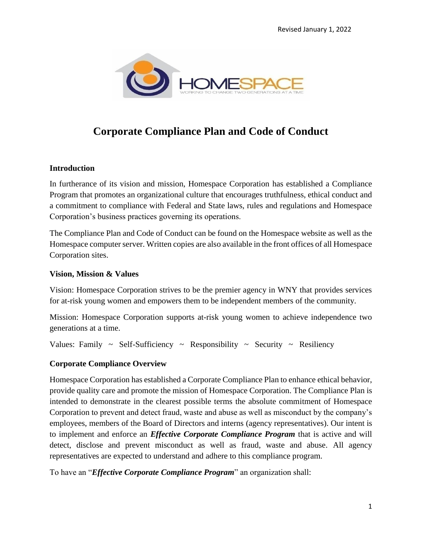

# **Corporate Compliance Plan and Code of Conduct**

#### **Introduction**

In furtherance of its vision and mission, Homespace Corporation has established a Compliance Program that promotes an organizational culture that encourages truthfulness, ethical conduct and a commitment to compliance with Federal and State laws, rules and regulations and Homespace Corporation's business practices governing its operations.

The Compliance Plan and Code of Conduct can be found on the Homespace website as well as the Homespace computer server. Written copies are also available in the front offices of all Homespace Corporation sites.

#### **Vision, Mission & Values**

Vision: Homespace Corporation strives to be the premier agency in WNY that provides services for at-risk young women and empowers them to be independent members of the community.

Mission: Homespace Corporation supports at-risk young women to achieve independence two generations at a time.

Values: Family  $\sim$  Self-Sufficiency  $\sim$  Responsibility  $\sim$  Security  $\sim$  Resiliency

#### **Corporate Compliance Overview**

Homespace Corporation has established a Corporate Compliance Plan to enhance ethical behavior, provide quality care and promote the mission of Homespace Corporation. The Compliance Plan is intended to demonstrate in the clearest possible terms the absolute commitment of Homespace Corporation to prevent and detect fraud, waste and abuse as well as misconduct by the company's employees, members of the Board of Directors and interns (agency representatives). Our intent is to implement and enforce an *Effective Corporate Compliance Program* that is active and will detect, disclose and prevent misconduct as well as fraud, waste and abuse. All agency representatives are expected to understand and adhere to this compliance program.

To have an "*Effective Corporate Compliance Program*" an organization shall: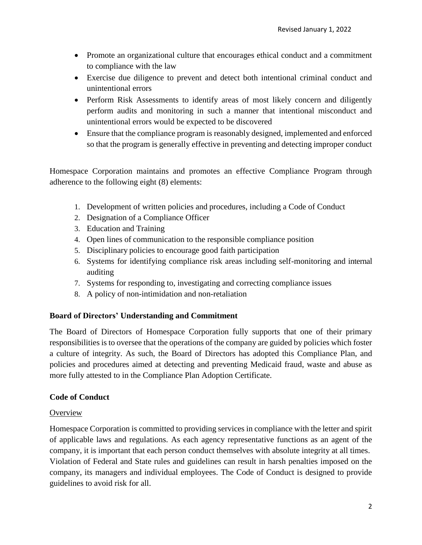- Promote an organizational culture that encourages ethical conduct and a commitment to compliance with the law
- Exercise due diligence to prevent and detect both intentional criminal conduct and unintentional errors
- Perform Risk Assessments to identify areas of most likely concern and diligently perform audits and monitoring in such a manner that intentional misconduct and unintentional errors would be expected to be discovered
- Ensure that the compliance program is reasonably designed, implemented and enforced so that the program is generally effective in preventing and detecting improper conduct

Homespace Corporation maintains and promotes an effective Compliance Program through adherence to the following eight (8) elements:

- 1. Development of written policies and procedures, including a Code of Conduct
- 2. Designation of a Compliance Officer
- 3. Education and Training
- 4. Open lines of communication to the responsible compliance position
- 5. Disciplinary policies to encourage good faith participation
- 6. Systems for identifying compliance risk areas including self-monitoring and internal auditing
- 7. Systems for responding to, investigating and correcting compliance issues
- 8. A policy of non-intimidation and non-retaliation

## **Board of Directors' Understanding and Commitment**

The Board of Directors of Homespace Corporation fully supports that one of their primary responsibilities is to oversee that the operations of the company are guided by policies which foster a culture of integrity. As such, the Board of Directors has adopted this Compliance Plan, and policies and procedures aimed at detecting and preventing Medicaid fraud, waste and abuse as more fully attested to in the Compliance Plan Adoption Certificate.

## **Code of Conduct**

## **Overview**

Homespace Corporation is committed to providing services in compliance with the letter and spirit of applicable laws and regulations. As each agency representative functions as an agent of the company, it is important that each person conduct themselves with absolute integrity at all times. Violation of Federal and State rules and guidelines can result in harsh penalties imposed on the company, its managers and individual employees. The Code of Conduct is designed to provide guidelines to avoid risk for all.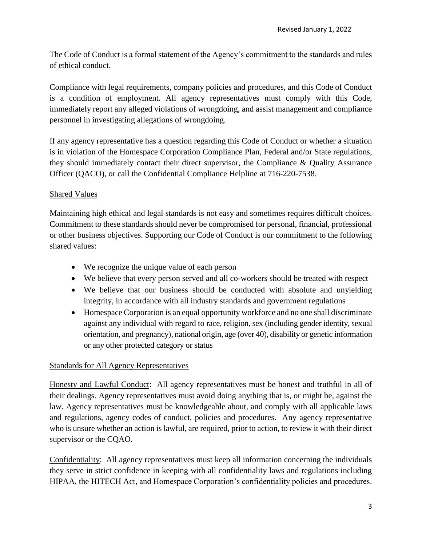The Code of Conduct is a formal statement of the Agency's commitment to the standards and rules of ethical conduct.

Compliance with legal requirements, company policies and procedures, and this Code of Conduct is a condition of employment. All agency representatives must comply with this Code, immediately report any alleged violations of wrongdoing, and assist management and compliance personnel in investigating allegations of wrongdoing.

If any agency representative has a question regarding this Code of Conduct or whether a situation is in violation of the Homespace Corporation Compliance Plan, Federal and/or State regulations, they should immediately contact their direct supervisor, the Compliance & Quality Assurance Officer (QACO), or call the Confidential Compliance Helpline at 716-220-7538.

# Shared Values

Maintaining high ethical and legal standards is not easy and sometimes requires difficult choices. Commitment to these standards should never be compromised for personal, financial, professional or other business objectives. Supporting our Code of Conduct is our commitment to the following shared values:

- We recognize the unique value of each person
- We believe that every person served and all co-workers should be treated with respect
- We believe that our business should be conducted with absolute and unyielding integrity, in accordance with all industry standards and government regulations
- Homespace Corporation is an equal opportunity workforce and no one shall discriminate against any individual with regard to race, religion, sex (including gender identity, sexual orientation, and pregnancy), national origin, age (over 40), disability or genetic information or any other protected category or status

## Standards for All Agency Representatives

Honesty and Lawful Conduct: All agency representatives must be honest and truthful in all of their dealings. Agency representatives must avoid doing anything that is, or might be, against the law. Agency representatives must be knowledgeable about, and comply with all applicable laws and regulations, agency codes of conduct, policies and procedures. Any agency representative who is unsure whether an action is lawful, are required, prior to action, to review it with their direct supervisor or the CQAO.

Confidentiality: All agency representatives must keep all information concerning the individuals they serve in strict confidence in keeping with all confidentiality laws and regulations including HIPAA, the HITECH Act, and Homespace Corporation's confidentiality policies and procedures.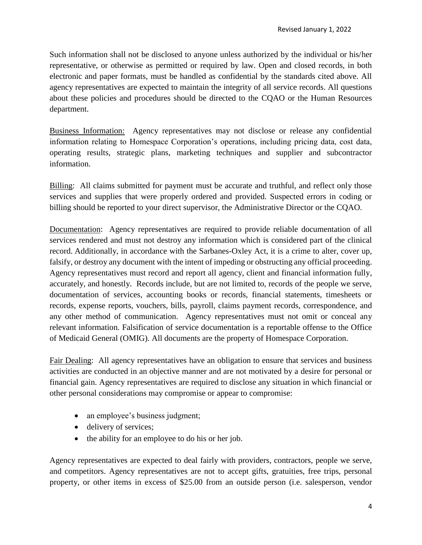Such information shall not be disclosed to anyone unless authorized by the individual or his/her representative, or otherwise as permitted or required by law. Open and closed records, in both electronic and paper formats, must be handled as confidential by the standards cited above. All agency representatives are expected to maintain the integrity of all service records. All questions about these policies and procedures should be directed to the CQAO or the Human Resources department.

Business Information: Agency representatives may not disclose or release any confidential information relating to Homespace Corporation's operations, including pricing data, cost data, operating results, strategic plans, marketing techniques and supplier and subcontractor information.

Billing: All claims submitted for payment must be accurate and truthful, and reflect only those services and supplies that were properly ordered and provided. Suspected errors in coding or billing should be reported to your direct supervisor, the Administrative Director or the CQAO.

Documentation: Agency representatives are required to provide reliable documentation of all services rendered and must not destroy any information which is considered part of the clinical record. Additionally, in accordance with the Sarbanes-Oxley Act, it is a crime to alter, cover up, falsify, or destroy any document with the intent of impeding or obstructing any official proceeding. Agency representatives must record and report all agency, client and financial information fully, accurately, and honestly. Records include, but are not limited to, records of the people we serve, documentation of services, accounting books or records, financial statements, timesheets or records, expense reports, vouchers, bills, payroll, claims payment records, correspondence, and any other method of communication. Agency representatives must not omit or conceal any relevant information. Falsification of service documentation is a reportable offense to the Office of Medicaid General (OMIG). All documents are the property of Homespace Corporation.

Fair Dealing: All agency representatives have an obligation to ensure that services and business activities are conducted in an objective manner and are not motivated by a desire for personal or financial gain. Agency representatives are required to disclose any situation in which financial or other personal considerations may compromise or appear to compromise:

- an employee's business judgment;
- delivery of services;
- the ability for an employee to do his or her job.

Agency representatives are expected to deal fairly with providers, contractors, people we serve, and competitors. Agency representatives are not to accept gifts, gratuities, free trips, personal property, or other items in excess of \$25.00 from an outside person (i.e. salesperson, vendor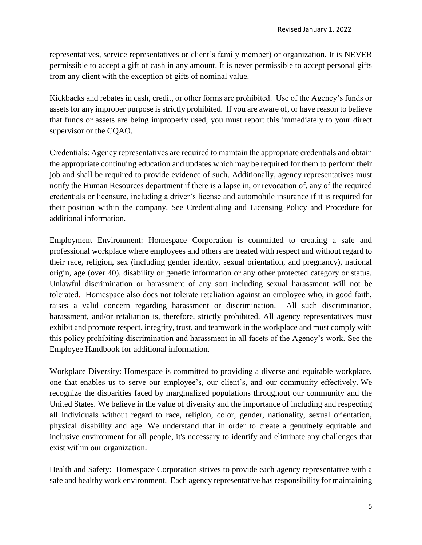representatives, service representatives or client's family member) or organization. It is NEVER permissible to accept a gift of cash in any amount. It is never permissible to accept personal gifts from any client with the exception of gifts of nominal value.

Kickbacks and rebates in cash, credit, or other forms are prohibited. Use of the Agency's funds or assets for any improper purpose is strictly prohibited. If you are aware of, or have reason to believe that funds or assets are being improperly used, you must report this immediately to your direct supervisor or the CQAO.

Credentials: Agency representatives are required to maintain the appropriate credentials and obtain the appropriate continuing education and updates which may be required for them to perform their job and shall be required to provide evidence of such. Additionally, agency representatives must notify the Human Resources department if there is a lapse in, or revocation of, any of the required credentials or licensure, including a driver's license and automobile insurance if it is required for their position within the company. See Credentialing and Licensing Policy and Procedure for additional information.

Employment Environment: Homespace Corporation is committed to creating a safe and professional workplace where employees and others are treated with respect and without regard to their race, religion, sex (including gender identity, sexual orientation, and pregnancy), national origin, age (over 40), disability or genetic information or any other protected category or status. Unlawful discrimination or harassment of any sort including sexual harassment will not be tolerated. Homespace also does not tolerate retaliation against an employee who, in good faith, raises a valid concern regarding harassment or discrimination. All such discrimination, harassment, and/or retaliation is, therefore, strictly prohibited. All agency representatives must exhibit and promote respect, integrity, trust, and teamwork in the workplace and must comply with this policy prohibiting discrimination and harassment in all facets of the Agency's work. See the Employee Handbook for additional information.

Workplace Diversity: Homespace is committed to providing a diverse and equitable workplace, one that enables us to serve our employee's, our client's, and our community effectively. We recognize the disparities faced by marginalized populations throughout our community and the United States. We believe in the value of diversity and the importance of including and respecting all individuals without regard to race, religion, color, gender, nationality, sexual orientation, physical disability and age. We understand that in order to create a genuinely equitable and inclusive environment for all people, it's necessary to identify and eliminate any challenges that exist within our organization.

Health and Safety: Homespace Corporation strives to provide each agency representative with a safe and healthy work environment. Each agency representative has responsibility for maintaining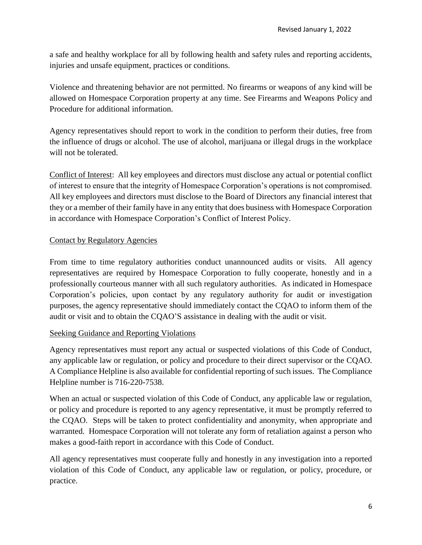a safe and healthy workplace for all by following health and safety rules and reporting accidents, injuries and unsafe equipment, practices or conditions.

Violence and threatening behavior are not permitted. No firearms or weapons of any kind will be allowed on Homespace Corporation property at any time. See Firearms and Weapons Policy and Procedure for additional information.

Agency representatives should report to work in the condition to perform their duties, free from the influence of drugs or alcohol. The use of alcohol, marijuana or illegal drugs in the workplace will not be tolerated.

Conflict of Interest: All key employees and directors must disclose any actual or potential conflict of interest to ensure that the integrity of Homespace Corporation's operations is not compromised. All key employees and directors must disclose to the Board of Directors any financial interest that they or a member of their family have in any entity that does business with Homespace Corporation in accordance with Homespace Corporation's Conflict of Interest Policy.

#### Contact by Regulatory Agencies

From time to time regulatory authorities conduct unannounced audits or visits. All agency representatives are required by Homespace Corporation to fully cooperate, honestly and in a professionally courteous manner with all such regulatory authorities. As indicated in Homespace Corporation's policies, upon contact by any regulatory authority for audit or investigation purposes, the agency representative should immediately contact the CQAO to inform them of the audit or visit and to obtain the CQAO'S assistance in dealing with the audit or visit.

#### Seeking Guidance and Reporting Violations

Agency representatives must report any actual or suspected violations of this Code of Conduct, any applicable law or regulation, or policy and procedure to their direct supervisor or the CQAO. A Compliance Helpline is also available for confidential reporting of such issues. The Compliance Helpline number is 716-220-7538.

When an actual or suspected violation of this Code of Conduct, any applicable law or regulation, or policy and procedure is reported to any agency representative, it must be promptly referred to the CQAO. Steps will be taken to protect confidentiality and anonymity, when appropriate and warranted. Homespace Corporation will not tolerate any form of retaliation against a person who makes a good-faith report in accordance with this Code of Conduct.

All agency representatives must cooperate fully and honestly in any investigation into a reported violation of this Code of Conduct, any applicable law or regulation, or policy, procedure, or practice.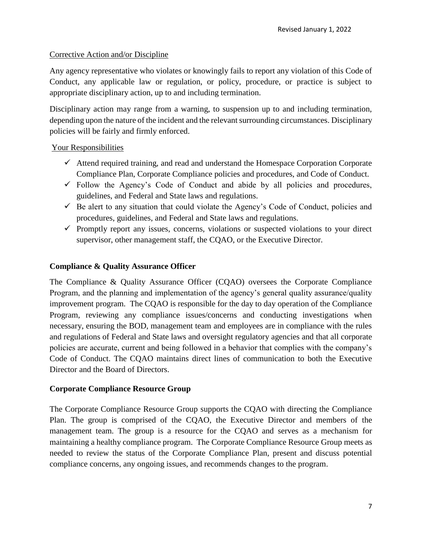#### Corrective Action and/or Discipline

Any agency representative who violates or knowingly fails to report any violation of this Code of Conduct, any applicable law or regulation, or policy, procedure, or practice is subject to appropriate disciplinary action, up to and including termination.

Disciplinary action may range from a warning, to suspension up to and including termination, depending upon the nature of the incident and the relevant surrounding circumstances. Disciplinary policies will be fairly and firmly enforced.

#### Your Responsibilities

- $\checkmark$  Attend required training, and read and understand the Homespace Corporation Corporate Compliance Plan, Corporate Compliance policies and procedures, and Code of Conduct.
- $\checkmark$  Follow the Agency's Code of Conduct and abide by all policies and procedures, guidelines, and Federal and State laws and regulations.
- $\checkmark$  Be alert to any situation that could violate the Agency's Code of Conduct, policies and procedures, guidelines, and Federal and State laws and regulations.
- $\checkmark$  Promptly report any issues, concerns, violations or suspected violations to your direct supervisor, other management staff, the CQAO, or the Executive Director.

#### **Compliance & Quality Assurance Officer**

The Compliance & Quality Assurance Officer (CQAO) oversees the Corporate Compliance Program, and the planning and implementation of the agency's general quality assurance/quality improvement program. The CQAO is responsible for the day to day operation of the Compliance Program, reviewing any compliance issues/concerns and conducting investigations when necessary, ensuring the BOD, management team and employees are in compliance with the rules and regulations of Federal and State laws and oversight regulatory agencies and that all corporate policies are accurate, current and being followed in a behavior that complies with the company's Code of Conduct. The CQAO maintains direct lines of communication to both the Executive Director and the Board of Directors.

#### **Corporate Compliance Resource Group**

The Corporate Compliance Resource Group supports the CQAO with directing the Compliance Plan. The group is comprised of the CQAO, the Executive Director and members of the management team. The group is a resource for the CQAO and serves as a mechanism for maintaining a healthy compliance program. The Corporate Compliance Resource Group meets as needed to review the status of the Corporate Compliance Plan, present and discuss potential compliance concerns, any ongoing issues, and recommends changes to the program.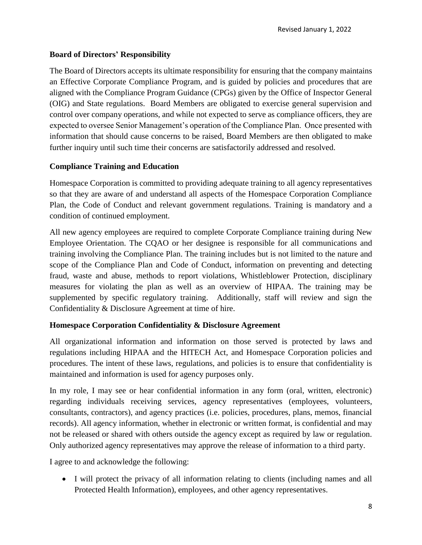#### **Board of Directors' Responsibility**

The Board of Directors accepts its ultimate responsibility for ensuring that the company maintains an Effective Corporate Compliance Program, and is guided by policies and procedures that are aligned with the Compliance Program Guidance (CPGs) given by the Office of Inspector General (OIG) and State regulations. Board Members are obligated to exercise general supervision and control over company operations, and while not expected to serve as compliance officers, they are expected to oversee Senior Management's operation of the Compliance Plan. Once presented with information that should cause concerns to be raised, Board Members are then obligated to make further inquiry until such time their concerns are satisfactorily addressed and resolved.

#### **Compliance Training and Education**

Homespace Corporation is committed to providing adequate training to all agency representatives so that they are aware of and understand all aspects of the Homespace Corporation Compliance Plan, the Code of Conduct and relevant government regulations. Training is mandatory and a condition of continued employment.

All new agency employees are required to complete Corporate Compliance training during New Employee Orientation. The CQAO or her designee is responsible for all communications and training involving the Compliance Plan. The training includes but is not limited to the nature and scope of the Compliance Plan and Code of Conduct, information on preventing and detecting fraud, waste and abuse, methods to report violations, Whistleblower Protection, disciplinary measures for violating the plan as well as an overview of HIPAA. The training may be supplemented by specific regulatory training. Additionally, staff will review and sign the Confidentiality & Disclosure Agreement at time of hire.

#### **Homespace Corporation Confidentiality & Disclosure Agreement**

All organizational information and information on those served is protected by laws and regulations including HIPAA and the HITECH Act, and Homespace Corporation policies and procedures. The intent of these laws, regulations, and policies is to ensure that confidentiality is maintained and information is used for agency purposes only.

In my role, I may see or hear confidential information in any form (oral, written, electronic) regarding individuals receiving services, agency representatives (employees, volunteers, consultants, contractors), and agency practices (i.e. policies, procedures, plans, memos, financial records). All agency information, whether in electronic or written format, is confidential and may not be released or shared with others outside the agency except as required by law or regulation. Only authorized agency representatives may approve the release of information to a third party.

I agree to and acknowledge the following:

• I will protect the privacy of all information relating to clients (including names and all Protected Health Information), employees, and other agency representatives.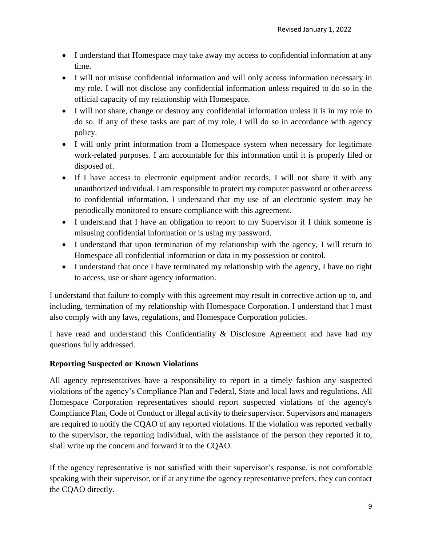- I understand that Homespace may take away my access to confidential information at any time.
- I will not misuse confidential information and will only access information necessary in my role. I will not disclose any confidential information unless required to do so in the official capacity of my relationship with Homespace.
- I will not share, change or destroy any confidential information unless it is in my role to do so. If any of these tasks are part of my role, I will do so in accordance with agency policy.
- I will only print information from a Homespace system when necessary for legitimate work-related purposes. I am accountable for this information until it is properly filed or disposed of.
- If I have access to electronic equipment and/or records, I will not share it with any unauthorized individual. I am responsible to protect my computer password or other access to confidential information. I understand that my use of an electronic system may be periodically monitored to ensure compliance with this agreement.
- I understand that I have an obligation to report to my Supervisor if I think someone is misusing confidential information or is using my password.
- I understand that upon termination of my relationship with the agency, I will return to Homespace all confidential information or data in my possession or control.
- I understand that once I have terminated my relationship with the agency, I have no right to access, use or share agency information.

I understand that failure to comply with this agreement may result in corrective action up to, and including, termination of my relationship with Homespace Corporation. I understand that I must also comply with any laws, regulations, and Homespace Corporation policies.

I have read and understand this Confidentiality & Disclosure Agreement and have had my questions fully addressed.

# **Reporting Suspected or Known Violations**

All agency representatives have a responsibility to report in a timely fashion any suspected violations of the agency's Compliance Plan and Federal, State and local laws and regulations. All Homespace Corporation representatives should report suspected violations of the agency's Compliance Plan, Code of Conduct or illegal activity to their supervisor. Supervisors and managers are required to notify the CQAO of any reported violations. If the violation was reported verbally to the supervisor, the reporting individual, with the assistance of the person they reported it to, shall write up the concern and forward it to the CQAO.

If the agency representative is not satisfied with their supervisor's response, is not comfortable speaking with their supervisor, or if at any time the agency representative prefers, they can contact the CQAO directly.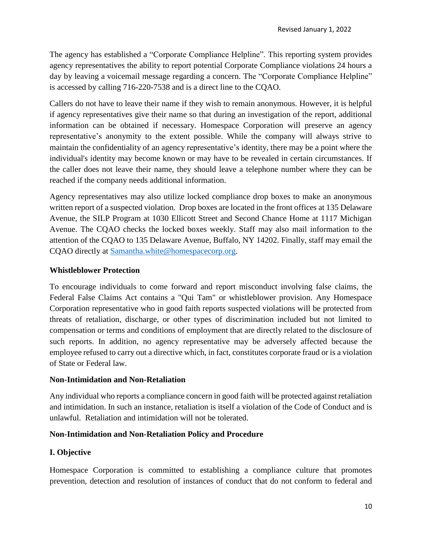The agency has established a "Corporate Compliance Helpline". This reporting system provides agency representatives the ability to report potential Corporate Compliance violations 24 hours a day by leaving a voicemail message regarding a concern. The "Corporate Compliance Helpline" is accessed by calling 716-220-7538 and is a direct line to the CQAO.

Callers do not have to leave their name if they wish to remain anonymous. However, it is helpful if agency representatives give their name so that during an investigation of the report, additional information can be obtained if necessary. Homespace Corporation will preserve an agency representative's anonymity to the extent possible. While the company will always strive to maintain the confidentiality of an agency representative's identity, there may be a point where the individual's identity may become known or may have to be revealed in certain circumstances. If the caller does not leave their name, they should leave a telephone number where they can be reached if the company needs additional information.

Agency representatives may also utilize locked compliance drop boxes to make an anonymous written report of a suspected violation. Drop boxes are located in the front offices at 135 Delaware Avenue, the SILP Program at 1030 Ellicott Street and Second Chance Home at 1117 Michigan Avenue. The CQAO checks the locked boxes weekly. Staff may also mail information to the attention of the CQAO to 135 Delaware Avenue, Buffalo, NY 14202. Finally, staff may email the CQAO directly at [Samantha.white@homespacecorp.org.](mailto:Samantha.white@homespacecorp.org)

# **Whistleblower Protection**

To encourage individuals to come forward and report misconduct involving false claims, the Federal False Claims Act contains a "Qui Tam" or whistleblower provision. Any Homespace Corporation representative who in good faith reports suspected violations will be protected from threats of retaliation, discharge, or other types of discrimination included but not limited to compensation or terms and conditions of employment that are directly related to the disclosure of such reports. In addition, no agency representative may be adversely affected because the employee refused to carry out a directive which, in fact, constitutes corporate fraud or is a violation of State or Federal law.

## **Non-Intimidation and Non-Retaliation**

Any individual who reports a compliance concern in good faith will be protected against retaliation and intimidation. In such an instance, retaliation is itself a violation of the Code of Conduct and is unlawful. Retaliation and intimidation will not be tolerated.

## **Non-Intimidation and Non-Retaliation Policy and Procedure**

## **I. Objective**

Homespace Corporation is committed to establishing a compliance culture that promotes prevention, detection and resolution of instances of conduct that do not conform to federal and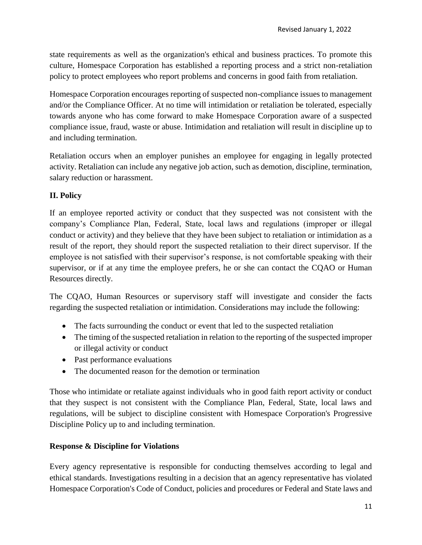state requirements as well as the organization's ethical and business practices. To promote this culture, Homespace Corporation has established a reporting process and a strict non-retaliation policy to protect employees who report problems and concerns in good faith from retaliation.

Homespace Corporation encourages reporting of suspected non-compliance issues to management and/or the Compliance Officer. At no time will intimidation or retaliation be tolerated, especially towards anyone who has come forward to make Homespace Corporation aware of a suspected compliance issue, fraud, waste or abuse. Intimidation and retaliation will result in discipline up to and including termination.

Retaliation occurs when an employer punishes an employee for engaging in legally protected activity. Retaliation can include any negative job action, such as demotion, discipline, termination, salary reduction or harassment.

# **II. Policy**

If an employee reported activity or conduct that they suspected was not consistent with the company's Compliance Plan, Federal, State, local laws and regulations (improper or illegal conduct or activity) and they believe that they have been subject to retaliation or intimidation as a result of the report, they should report the suspected retaliation to their direct supervisor. If the employee is not satisfied with their supervisor's response, is not comfortable speaking with their supervisor, or if at any time the employee prefers, he or she can contact the CQAO or Human Resources directly.

The CQAO, Human Resources or supervisory staff will investigate and consider the facts regarding the suspected retaliation or intimidation. Considerations may include the following:

- The facts surrounding the conduct or event that led to the suspected retaliation
- The timing of the suspected retaliation in relation to the reporting of the suspected improper or illegal activity or conduct
- Past performance evaluations
- The documented reason for the demotion or termination

Those who intimidate or retaliate against individuals who in good faith report activity or conduct that they suspect is not consistent with the Compliance Plan, Federal, State, local laws and regulations, will be subject to discipline consistent with Homespace Corporation's Progressive Discipline Policy up to and including termination.

# **Response & Discipline for Violations**

Every agency representative is responsible for conducting themselves according to legal and ethical standards. Investigations resulting in a decision that an agency representative has violated Homespace Corporation's Code of Conduct, policies and procedures or Federal and State laws and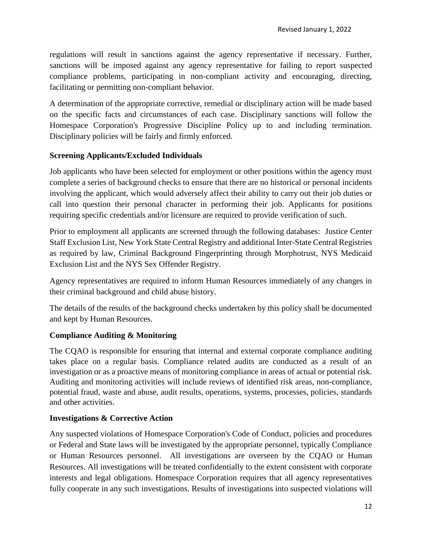regulations will result in sanctions against the agency representative if necessary. Further, sanctions will be imposed against any agency representative for failing to report suspected compliance problems, participating in non-compliant activity and encouraging, directing, facilitating or permitting non-compliant behavior.

A determination of the appropriate corrective, remedial or disciplinary action will be made based on the specific facts and circumstances of each case. Disciplinary sanctions will follow the Homespace Corporation's Progressive Discipline Policy up to and including termination. Disciplinary policies will be fairly and firmly enforced.

## **Screening Applicants/Excluded Individuals**

Job applicants who have been selected for employment or other positions within the agency must complete a series of background checks to ensure that there are no historical or personal incidents involving the applicant, which would adversely affect their ability to carry out their job duties or call into question their personal character in performing their job. Applicants for positions requiring specific credentials and/or licensure are required to provide verification of such.

Prior to employment all applicants are screened through the following databases: Justice Center Staff Exclusion List, New York State Central Registry and additional Inter-State Central Registries as required by law, Criminal Background Fingerprinting through Morphotrust, NYS Medicaid Exclusion List and the NYS Sex Offender Registry.

Agency representatives are required to inform Human Resources immediately of any changes in their criminal background and child abuse history.

The details of the results of the background checks undertaken by this policy shall be documented and kept by Human Resources.

# **Compliance Auditing & Monitoring**

The CQAO is responsible for ensuring that internal and external corporate compliance auditing takes place on a regular basis. Compliance related audits are conducted as a result of an investigation or as a proactive means of monitoring compliance in areas of actual or potential risk. Auditing and monitoring activities will include reviews of identified risk areas, non-compliance, potential fraud, waste and abuse, audit results, operations, systems, processes, policies, standards and other activities.

## **Investigations & Corrective Action**

Any suspected violations of Homespace Corporation's Code of Conduct, policies and procedures or Federal and State laws will be investigated by the appropriate personnel, typically Compliance or Human Resources personnel. All investigations are overseen by the CQAO or Human Resources. All investigations will be treated confidentially to the extent consistent with corporate interests and legal obligations. Homespace Corporation requires that all agency representatives fully cooperate in any such investigations. Results of investigations into suspected violations will